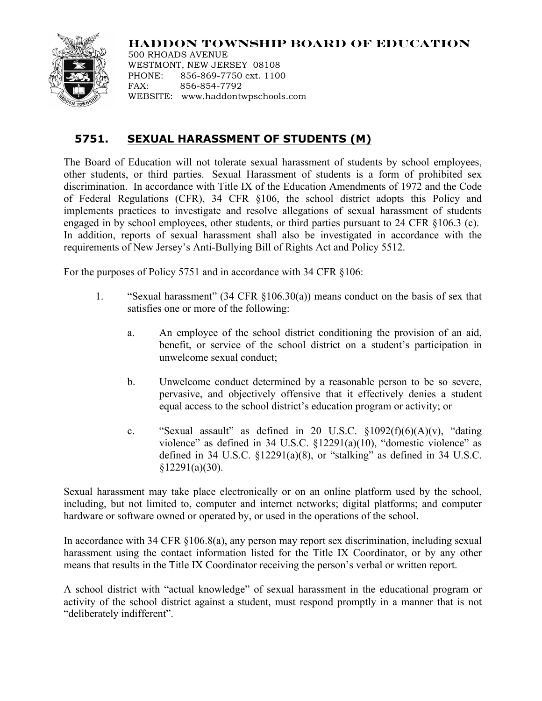## **HADDON TOWNSHIP BOARD OF EDUCATION**



500 RHOADS AVENUE WESTMONT, NEW JERSEY 08108 PHONE: 856-869-7750 ext. 1100 FAX: 856-854-7792 WEBSITE: www.haddontwpschools.com

## **5751. SEXUAL HARASSMENT OF STUDENTS (M)**

The Board of Education will not tolerate sexual harassment of students by school employees, other students, or third parties. Sexual Harassment of students is a form of prohibited sex discrimination. In accordance with Title IX of the Education Amendments of 1972 and the Code of Federal Regulations (CFR), 34 CFR §106, the school district adopts this Policy and implements practices to investigate and resolve allegations of sexual harassment of students engaged in by school employees, other students, or third parties pursuant to 24 CFR §106.3 (c). In addition, reports of sexual harassment shall also be investigated in accordance with the requirements of New Jersey's Anti-Bullying Bill of Rights Act and Policy 5512.

For the purposes of Policy 5751 and in accordance with 34 CFR §106:

- 1. "Sexual harassment" (34 CFR §106.30(a)) means conduct on the basis of sex that satisfies one or more of the following:
	- a. An employee of the school district conditioning the provision of an aid, benefit, or service of the school district on a student's participation in unwelcome sexual conduct;
	- b. Unwelcome conduct determined by a reasonable person to be so severe, pervasive, and objectively offensive that it effectively denies a student equal access to the school district's education program or activity; or
	- c. "Sexual assault" as defined in 20 U.S.C.  $\S 1092(f)(6)(A)(v)$ , "dating violence" as defined in 34 U.S.C. §12291(a)(10), "domestic violence" as defined in 34 U.S.C.  $\S$ 12291(a)(8), or "stalking" as defined in 34 U.S.C.  $§12291(a)(30).$

Sexual harassment may take place electronically or on an online platform used by the school, including, but not limited to, computer and internet networks; digital platforms; and computer hardware or software owned or operated by, or used in the operations of the school.

In accordance with 34 CFR §106.8(a), any person may report sex discrimination, including sexual harassment using the contact information listed for the Title IX Coordinator, or by any other means that results in the Title IX Coordinator receiving the person's verbal or written report.

A school district with "actual knowledge" of sexual harassment in the educational program or activity of the school district against a student, must respond promptly in a manner that is not "deliberately indifferent".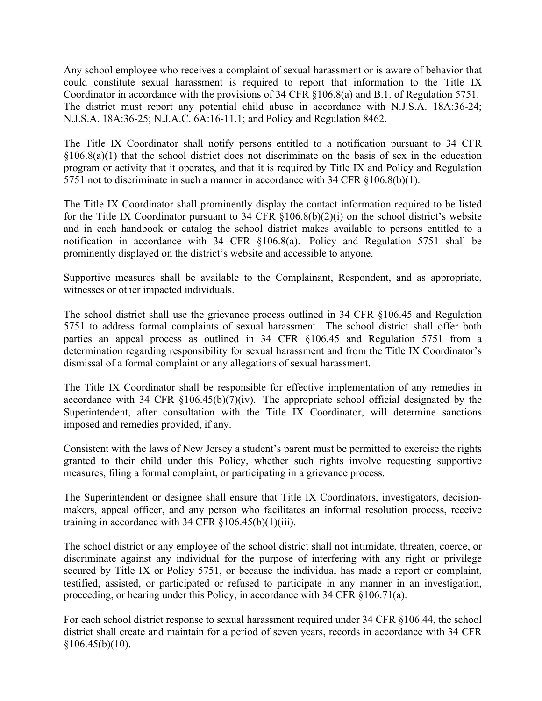Any school employee who receives a complaint of sexual harassment or is aware of behavior that could constitute sexual harassment is required to report that information to the Title IX Coordinator in accordance with the provisions of 34 CFR §106.8(a) and B.1. of Regulation 5751. The district must report any potential child abuse in accordance with N.J.S.A. 18A:36-24; N.J.S.A. 18A:36-25; N.J.A.C. 6A:16-11.1; and Policy and Regulation 8462.

The Title IX Coordinator shall notify persons entitled to a notification pursuant to 34 CFR  $§106.8(a)(1)$  that the school district does not discriminate on the basis of sex in the education program or activity that it operates, and that it is required by Title IX and Policy and Regulation 5751 not to discriminate in such a manner in accordance with 34 CFR §106.8(b)(1).

The Title IX Coordinator shall prominently display the contact information required to be listed for the Title IX Coordinator pursuant to 34 CFR §106.8(b)(2)(i) on the school district's website and in each handbook or catalog the school district makes available to persons entitled to a notification in accordance with 34 CFR §106.8(a). Policy and Regulation 5751 shall be prominently displayed on the district's website and accessible to anyone.

Supportive measures shall be available to the Complainant, Respondent, and as appropriate, witnesses or other impacted individuals.

The school district shall use the grievance process outlined in 34 CFR §106.45 and Regulation 5751 to address formal complaints of sexual harassment. The school district shall offer both parties an appeal process as outlined in 34 CFR §106.45 and Regulation 5751 from a determination regarding responsibility for sexual harassment and from the Title IX Coordinator's dismissal of a formal complaint or any allegations of sexual harassment.

The Title IX Coordinator shall be responsible for effective implementation of any remedies in accordance with 34 CFR §106.45(b)(7)(iv). The appropriate school official designated by the Superintendent, after consultation with the Title IX Coordinator, will determine sanctions imposed and remedies provided, if any.

Consistent with the laws of New Jersey a student's parent must be permitted to exercise the rights granted to their child under this Policy, whether such rights involve requesting supportive measures, filing a formal complaint, or participating in a grievance process.

The Superintendent or designee shall ensure that Title IX Coordinators, investigators, decisionmakers, appeal officer, and any person who facilitates an informal resolution process, receive training in accordance with 34 CFR  $\S 106.45(b)(1)(iii)$ .

The school district or any employee of the school district shall not intimidate, threaten, coerce, or discriminate against any individual for the purpose of interfering with any right or privilege secured by Title IX or Policy 5751, or because the individual has made a report or complaint, testified, assisted, or participated or refused to participate in any manner in an investigation, proceeding, or hearing under this Policy, in accordance with 34 CFR §106.71(a).

For each school district response to sexual harassment required under 34 CFR §106.44, the school district shall create and maintain for a period of seven years, records in accordance with 34 CFR  $$106.45(b)(10).$